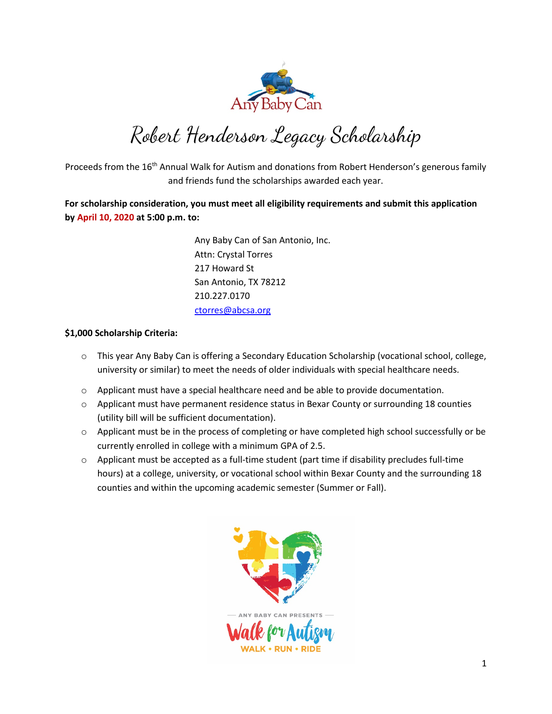

Robert Henderson Legacy Scholarship

Proceeds from the 16<sup>th</sup> Annual Walk for Autism and donations from Robert Henderson's generous family and friends fund the scholarships awarded each year.

**For scholarship consideration, you must meet all eligibility requirements and submit this application by April 10, 2020 at 5:00 p.m. to:**

> Any Baby Can of San Antonio, Inc. Attn: Crystal Torres 217 Howard St San Antonio, TX 78212 210.227.0170 [ctorres@abcsa.org](mailto:ctorres@abcsa.org)

#### **\$1,000 Scholarship Criteria:**

- o This year Any Baby Can is offering a Secondary Education Scholarship (vocational school, college, university or similar) to meet the needs of older individuals with special healthcare needs.
- $\circ$  Applicant must have a special healthcare need and be able to provide documentation.
- $\circ$  Applicant must have permanent residence status in Bexar County or surrounding 18 counties (utility bill will be sufficient documentation).
- o Applicant must be in the process of completing or have completed high school successfully or be currently enrolled in college with a minimum GPA of 2.5.
- $\circ$  Applicant must be accepted as a full-time student (part time if disability precludes full-time hours) at a college, university, or vocational school within Bexar County and the surrounding 18 counties and within the upcoming academic semester (Summer or Fall).

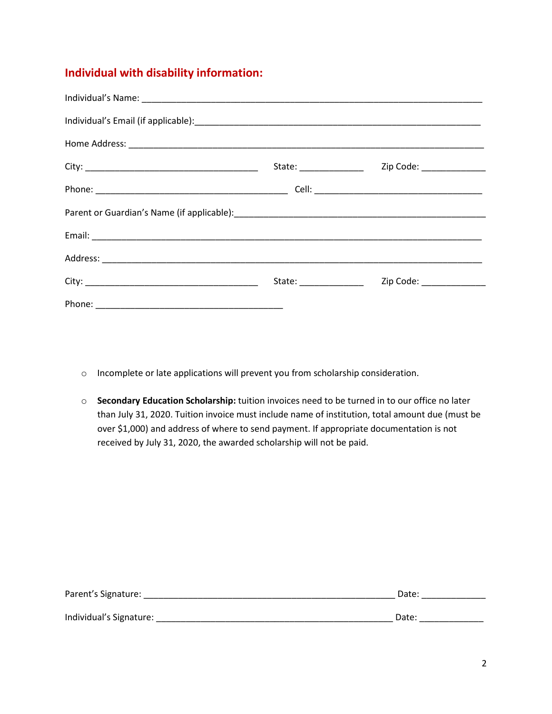### **Individual with disability information:**

| State: ________________ | Zip Code: _______________ |
|-------------------------|---------------------------|
|                         |                           |
|                         |                           |
|                         |                           |
|                         |                           |
| State: ________________ | Zip Code: _______________ |
|                         |                           |

- o Incomplete or late applications will prevent you from scholarship consideration.
- o **Secondary Education Scholarship:** tuition invoices need to be turned in to our office no later than July 31, 2020. Tuition invoice must include name of institution, total amount due (must be over \$1,000) and address of where to send payment. If appropriate documentation is not received by July 31, 2020, the awarded scholarship will not be paid.

| Parent's Signature:     | Date: |
|-------------------------|-------|
| Individual's Signature: | Date: |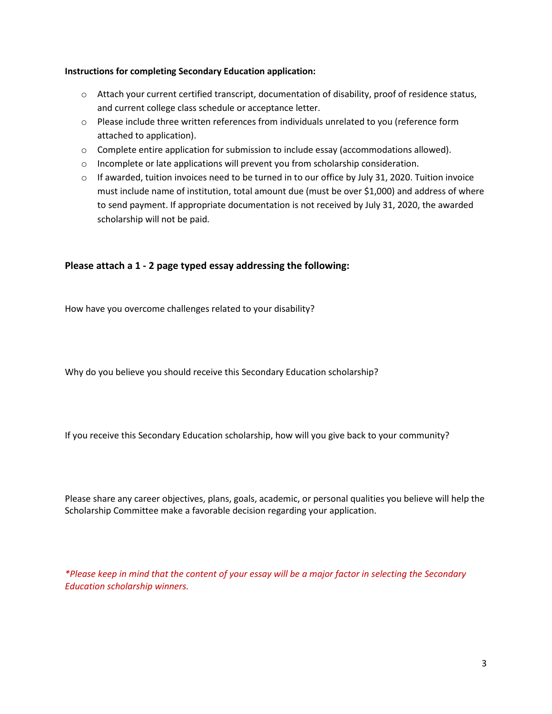#### **Instructions for completing Secondary Education application:**

- o Attach your current certified transcript, documentation of disability, proof of residence status, and current college class schedule or acceptance letter.
- $\circ$  Please include three written references from individuals unrelated to you (reference form attached to application).
- $\circ$  Complete entire application for submission to include essay (accommodations allowed).
- o Incomplete or late applications will prevent you from scholarship consideration.
- $\circ$  If awarded, tuition invoices need to be turned in to our office by July 31, 2020. Tuition invoice must include name of institution, total amount due (must be over \$1,000) and address of where to send payment. If appropriate documentation is not received by July 31, 2020, the awarded scholarship will not be paid.

### **Please attach a 1 - 2 page typed essay addressing the following:**

How have you overcome challenges related to your disability?

Why do you believe you should receive this Secondary Education scholarship?

If you receive this Secondary Education scholarship, how will you give back to your community?

Please share any career objectives, plans, goals, academic, or personal qualities you believe will help the Scholarship Committee make a favorable decision regarding your application.

*\*Please keep in mind that the content of your essay will be a major factor in selecting the Secondary Education scholarship winners.*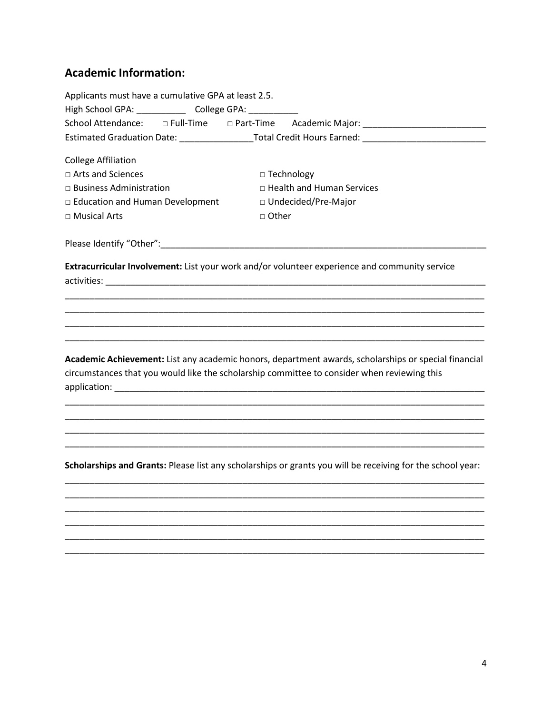## **Academic Information:**

| Applicants must have a cumulative GPA at least 2.5.<br>High School GPA: ______________ College GPA: ___________ |              |                                                                                                            |
|-----------------------------------------------------------------------------------------------------------------|--------------|------------------------------------------------------------------------------------------------------------|
|                                                                                                                 |              |                                                                                                            |
|                                                                                                                 |              | Estimated Graduation Date: _____________________Total Credit Hours Earned: ________________________        |
|                                                                                                                 |              |                                                                                                            |
| <b>College Affiliation</b>                                                                                      |              |                                                                                                            |
| $\Box$ Arts and Sciences                                                                                        |              | $\Box$ Technology                                                                                          |
| $\Box$ Business Administration                                                                                  |              | □ Health and Human Services                                                                                |
| $\Box$ Education and Human Development                                                                          |              | □ Undecided/Pre-Major                                                                                      |
| □ Musical Arts                                                                                                  | $\Box$ Other |                                                                                                            |
| Please Identify "Other": 1997 - 1997 - 1998 - 1998 - 1999 - 1999 - 1999 - 1999 - 1999 - 1999 - 1999 - 1999 - 1  |              |                                                                                                            |
|                                                                                                                 |              | Extracurricular Involvement: List your work and/or volunteer experience and community service              |
|                                                                                                                 |              |                                                                                                            |
|                                                                                                                 |              |                                                                                                            |
|                                                                                                                 |              |                                                                                                            |
|                                                                                                                 |              |                                                                                                            |
| circumstances that you would like the scholarship committee to consider when reviewing this                     |              | Academic Achievement: List any academic honors, department awards, scholarships or special financial       |
|                                                                                                                 |              |                                                                                                            |
|                                                                                                                 |              |                                                                                                            |
|                                                                                                                 |              |                                                                                                            |
|                                                                                                                 |              | Scholarships and Grants: Please list any scholarships or grants you will be receiving for the school year: |
|                                                                                                                 |              |                                                                                                            |
|                                                                                                                 |              |                                                                                                            |
|                                                                                                                 |              |                                                                                                            |
|                                                                                                                 |              |                                                                                                            |
|                                                                                                                 |              |                                                                                                            |
|                                                                                                                 |              |                                                                                                            |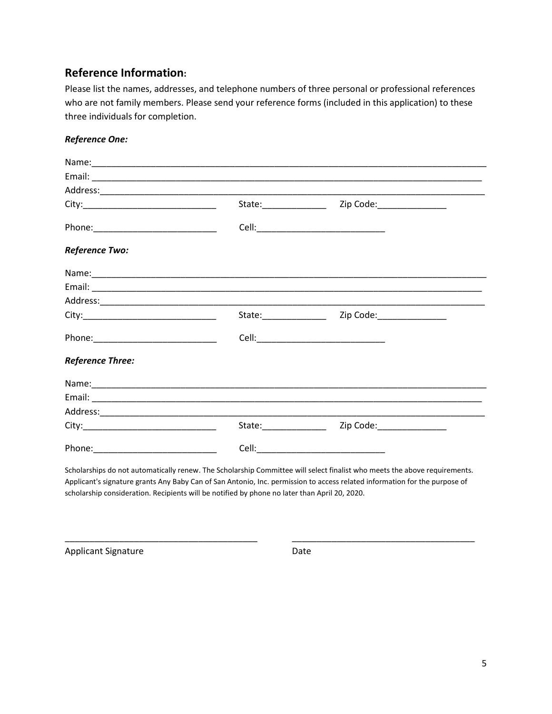### **Reference Information:**

Please list the names, addresses, and telephone numbers of three personal or professional references who are not family members. Please send your reference forms (included in this application) to these three individuals for completion.

### *Reference One:*

|                         | State:________________ | Zip Code:________________ |  |
|-------------------------|------------------------|---------------------------|--|
|                         |                        |                           |  |
| Reference Two:          |                        |                           |  |
|                         |                        |                           |  |
|                         |                        |                           |  |
|                         |                        |                           |  |
|                         |                        |                           |  |
|                         |                        |                           |  |
| <b>Reference Three:</b> |                        |                           |  |
|                         |                        |                           |  |
|                         |                        |                           |  |
|                         |                        |                           |  |
|                         | State:_______________  | Zip Code:________________ |  |
|                         |                        |                           |  |

Scholarships do not automatically renew. The Scholarship Committee will select finalist who meets the above requirements. Applicant's signature grants Any Baby Can of San Antonio, Inc. permission to access related information for the purpose of scholarship consideration. Recipients will be notified by phone no later than April 20, 2020.

\_\_\_\_\_\_\_\_\_\_\_\_\_\_\_\_\_\_\_\_\_\_\_\_\_\_\_\_\_\_\_\_\_\_\_\_\_\_\_ \_\_\_\_\_\_\_\_\_\_\_\_\_\_\_\_\_\_\_\_\_\_\_\_\_\_\_\_\_\_\_\_\_\_\_\_\_

Applicant Signature Date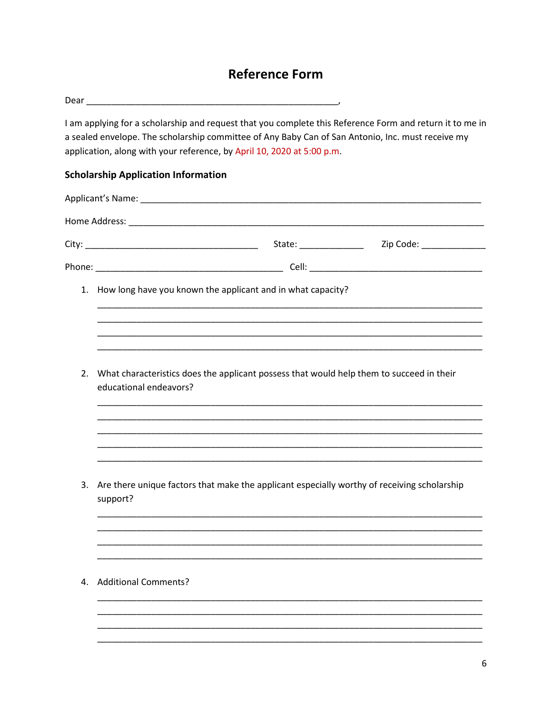# **Reference Form**

|    | I am applying for a scholarship and request that you complete this Reference Form and return it to me in<br>a sealed envelope. The scholarship committee of Any Baby Can of San Antonio, Inc. must receive my<br>application, along with your reference, by April 10, 2020 at 5:00 p.m. |
|----|-----------------------------------------------------------------------------------------------------------------------------------------------------------------------------------------------------------------------------------------------------------------------------------------|
|    | <b>Scholarship Application Information</b>                                                                                                                                                                                                                                              |
|    |                                                                                                                                                                                                                                                                                         |
|    |                                                                                                                                                                                                                                                                                         |
|    |                                                                                                                                                                                                                                                                                         |
|    |                                                                                                                                                                                                                                                                                         |
| 1. | How long have you known the applicant and in what capacity?                                                                                                                                                                                                                             |
|    |                                                                                                                                                                                                                                                                                         |
|    |                                                                                                                                                                                                                                                                                         |
|    |                                                                                                                                                                                                                                                                                         |
| 2. | What characteristics does the applicant possess that would help them to succeed in their<br>educational endeavors?                                                                                                                                                                      |
|    |                                                                                                                                                                                                                                                                                         |
|    | <u> 1990 - Jan James James James James James James James James James James James James James James James James J</u>                                                                                                                                                                    |
|    |                                                                                                                                                                                                                                                                                         |
|    | 3. Are there unique factors that make the applicant especially worthy of receiving scholarship<br>support?                                                                                                                                                                              |
|    |                                                                                                                                                                                                                                                                                         |
|    |                                                                                                                                                                                                                                                                                         |
| 4. | <b>Additional Comments?</b>                                                                                                                                                                                                                                                             |
|    |                                                                                                                                                                                                                                                                                         |
|    |                                                                                                                                                                                                                                                                                         |